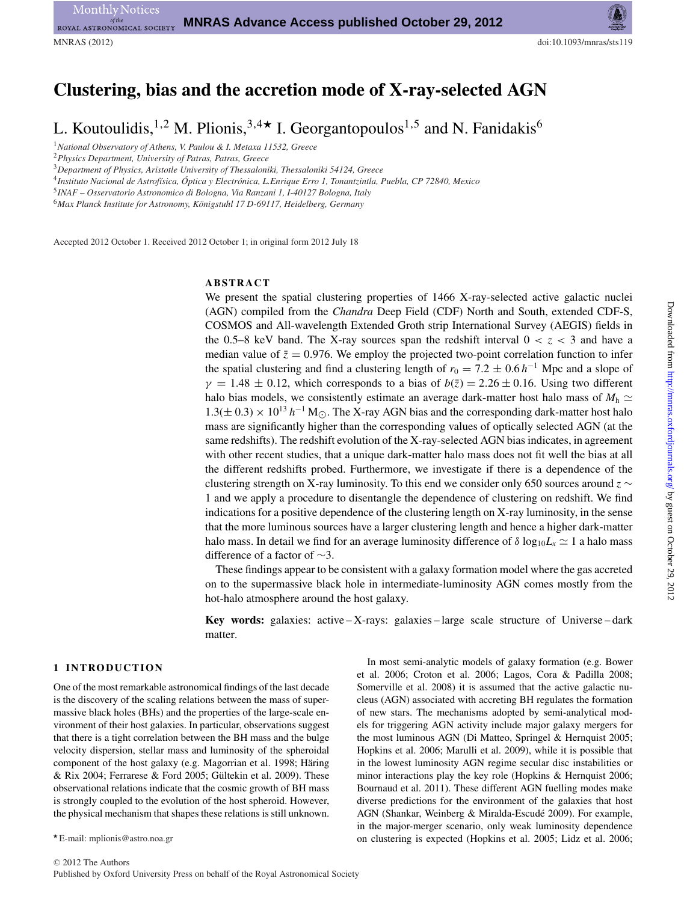# MNRAS (2012) doi:10.1093/mnras/sts119

# **Clustering, bias and the accretion mode of X-ray-selected AGN**

L. Koutoulidis,<sup>1,2</sup> M. Plionis,<sup>3,4</sup> L. Georgantopoulos<sup>1,5</sup> and N. Fanidakis<sup>6</sup>

<sup>1</sup>*National Observatory of Athens, V. Paulou & I. Metaxa 11532, Greece*

<sup>2</sup>*Physics Department, University of Patras, Patras, Greece*

<sup>3</sup>*Department of Physics, Aristotle University of Thessaloniki, Thessaloniki 54124, Greece*

<sup>4</sup>*Instituto Nacional de Astrof´ısica, Optica y Electr ´ onica, L.Enrique Erro 1, Tonantzintla, Puebla, CP 72840, Mexico ´*

<sup>5</sup>*INAF – Osservatorio Astronomico di Bologna, Via Ranzani 1, I-40127 Bologna, Italy*

<sup>6</sup>Max Planck Institute for Astronomy, Königstuhl 17 D-69117, Heidelberg, Germany

Accepted 2012 October 1. Received 2012 October 1; in original form 2012 July 18

# **ABSTRACT**

We present the spatial clustering properties of 1466 X-ray-selected active galactic nuclei (AGN) compiled from the *Chandra* Deep Field (CDF) North and South, extended CDF-S, COSMOS and All-wavelength Extended Groth strip International Survey (AEGIS) fields in the 0.5–8 keV band. The X-ray sources span the redshift interval  $0 < z < 3$  and have a median value of  $\bar{z} = 0.976$ . We employ the projected two-point correlation function to infer the spatial clustering and find a clustering length of  $r_0 = 7.2 \pm 0.6 h^{-1}$  Mpc and a slope of  $\gamma = 1.48 \pm 0.12$ , which corresponds to a bias of  $b(\bar{z}) = 2.26 \pm 0.16$ . Using two different halo bias models, we consistently estimate an average dark-matter host halo mass of  $M<sub>h</sub> \simeq$  $1.3(\pm 0.3) \times 10^{13} h^{-1}$  M<sub>.</sub>.. The X-ray AGN bias and the corresponding dark-matter host halo mass are significantly higher than the corresponding values of optically selected AGN (at the same redshifts). The redshift evolution of the X-ray-selected AGN bias indicates, in agreement with other recent studies, that a unique dark-matter halo mass does not fit well the bias at all the different redshifts probed. Furthermore, we investigate if there is a dependence of the clustering strength on X-ray luminosity. To this end we consider only 650 sources around *z* ∼ 1 and we apply a procedure to disentangle the dependence of clustering on redshift. We find indications for a positive dependence of the clustering length on X-ray luminosity, in the sense that the more luminous sources have a larger clustering length and hence a higher dark-matter halo mass. In detail we find for an average luminosity difference of  $\delta \log_{10} L_x \simeq 1$  a halo mass difference of a factor of ∼3.

These findings appear to be consistent with a galaxy formation model where the gas accreted on to the supermassive black hole in intermediate-luminosity AGN comes mostly from the hot-halo atmosphere around the host galaxy.

**Key words:** galaxies: active – X-rays: galaxies – large scale structure of Universe – dark matter.

#### **1 INTRODUCTION**

One of the most remarkable astronomical findings of the last decade is the discovery of the scaling relations between the mass of supermassive black holes (BHs) and the properties of the large-scale environment of their host galaxies. In particular, observations suggest that there is a tight correlation between the BH mass and the bulge velocity dispersion, stellar mass and luminosity of the spheroidal component of the host galaxy (e.g. Magorrian et al. 1998; Häring  $& Rix 2004$ ; Ferrarese  $& Ford 2005$ ; Gültekin et al. 2009). These observational relations indicate that the cosmic growth of BH mass is strongly coupled to the evolution of the host spheroid. However, the physical mechanism that shapes these relations is still unknown.

In most semi-analytic models of galaxy formation (e.g. Bower et al. 2006; Croton et al. 2006; Lagos, Cora & Padilla 2008; Somerville et al. 2008) it is assumed that the active galactic nucleus (AGN) associated with accreting BH regulates the formation of new stars. The mechanisms adopted by semi-analytical models for triggering AGN activity include major galaxy mergers for the most luminous AGN (Di Matteo, Springel & Hernquist 2005; Hopkins et al. 2006; Marulli et al. 2009), while it is possible that in the lowest luminosity AGN regime secular disc instabilities or minor interactions play the key role (Hopkins & Hernquist 2006; Bournaud et al. 2011). These different AGN fuelling modes make diverse predictions for the environment of the galaxies that host AGN (Shankar, Weinberg & Miralda-Escudé 2009). For example, in the major-merger scenario, only weak luminosity dependence on clustering is expected (Hopkins et al. 2005; Lidz et al. 2006;

E-mail: mplionis@astro.noa.gr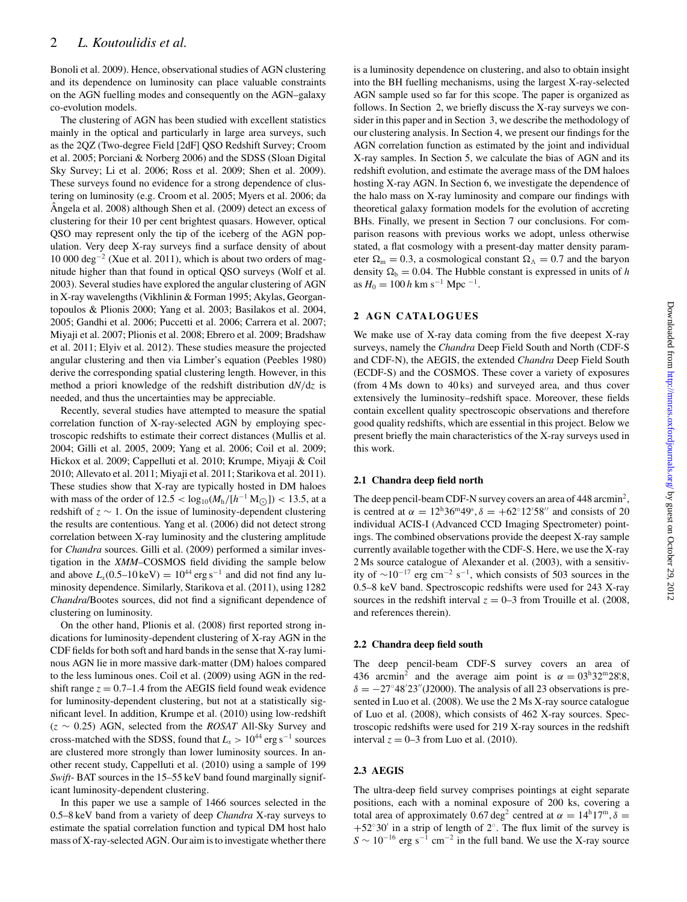Bonoli et al. 2009). Hence, observational studies of AGN clustering and its dependence on luminosity can place valuable constraints on the AGN fuelling modes and consequently on the AGN–galaxy co-evolution models.

The clustering of AGN has been studied with excellent statistics mainly in the optical and particularly in large area surveys, such as the 2QZ (Two-degree Field [2dF] QSO Redshift Survey; Croom et al. 2005; Porciani & Norberg 2006) and the SDSS (Sloan Digital Sky Survey; Li et al. 2006; Ross et al. 2009; Shen et al. 2009). These surveys found no evidence for a strong dependence of clustering on luminosity (e.g. Croom et al. 2005; Myers et al. 2006; da  $\hat{A}$ ngela et al. 2008) although Shen et al. (2009) detect an excess of clustering for their 10 per cent brightest quasars. However, optical QSO may represent only the tip of the iceberg of the AGN population. Very deep X-ray surveys find a surface density of about 10 000 deg−<sup>2</sup> (Xue et al. 2011), which is about two orders of magnitude higher than that found in optical QSO surveys (Wolf et al. 2003). Several studies have explored the angular clustering of AGN in X-ray wavelengths (Vikhlinin & Forman 1995; Akylas, Georgantopoulos & Plionis 2000; Yang et al. 2003; Basilakos et al. 2004, 2005; Gandhi et al. 2006; Puccetti et al. 2006; Carrera et al. 2007; Miyaji et al. 2007; Plionis et al. 2008; Ebrero et al. 2009; Bradshaw et al. 2011; Elyiv et al. 2012). These studies measure the projected angular clustering and then via Limber's equation (Peebles 1980) derive the corresponding spatial clustering length. However, in this method a priori knowledge of the redshift distribution d*N*/d*z* is needed, and thus the uncertainties may be appreciable.

Recently, several studies have attempted to measure the spatial correlation function of X-ray-selected AGN by employing spectroscopic redshifts to estimate their correct distances (Mullis et al. 2004; Gilli et al. 2005, 2009; Yang et al. 2006; Coil et al. 2009; Hickox et al. 2009; Cappelluti et al. 2010; Krumpe, Miyaji & Coil 2010; Allevato et al. 2011; Miyaji et al. 2011; Starikova et al. 2011). These studies show that X-ray are typically hosted in DM haloes with mass of the order of  $12.5 < log_{10}(M_h/[h^{-1} M_{\odot}]) < 13.5$ , at a redshift of *z* ∼ 1. On the issue of luminosity-dependent clustering the results are contentious. Yang et al. (2006) did not detect strong correlation between X-ray luminosity and the clustering amplitude for *Chandra* sources. Gilli et al. (2009) performed a similar investigation in the *XMM*–COSMOS field dividing the sample below and above  $L_x(0.5-10 \text{ keV}) = 10^{44} \text{ erg s}^{-1}$  and did not find any luminosity dependence. Similarly, Starikova et al. (2011), using 1282 *Chandra*/Bootes sources, did not find a significant dependence of clustering on luminosity.

On the other hand, Plionis et al. (2008) first reported strong indications for luminosity-dependent clustering of X-ray AGN in the CDF fields for both soft and hard bands in the sense that X-ray luminous AGN lie in more massive dark-matter (DM) haloes compared to the less luminous ones. Coil et al. (2009) using AGN in the redshift range  $z = 0.7$ –1.4 from the AEGIS field found weak evidence for luminosity-dependent clustering, but not at a statistically significant level. In addition, Krumpe et al. (2010) using low-redshift (*z* ∼ 0.25) AGN, selected from the *ROSAT* All-Sky Survey and cross-matched with the SDSS, found that  $L_x > 10^{44}$  erg s<sup>-1</sup> sources are clustered more strongly than lower luminosity sources. In another recent study, Cappelluti et al. (2010) using a sample of 199 *Swift*- BAT sources in the 15–55 keV band found marginally significant luminosity-dependent clustering.

In this paper we use a sample of 1466 sources selected in the 0.5–8 keV band from a variety of deep *Chandra* X-ray surveys to estimate the spatial correlation function and typical DM host halo mass of X-ray-selected AGN. Our aim is to investigate whether there is a luminosity dependence on clustering, and also to obtain insight into the BH fuelling mechanisms, using the largest X-ray-selected AGN sample used so far for this scope. The paper is organized as follows. In Section 2, we briefly discuss the X-ray surveys we consider in this paper and in Section 3, we describe the methodology of our clustering analysis. In Section 4, we present our findings for the AGN correlation function as estimated by the joint and individual X-ray samples. In Section 5, we calculate the bias of AGN and its redshift evolution, and estimate the average mass of the DM haloes hosting X-ray AGN. In Section 6, we investigate the dependence of the halo mass on X-ray luminosity and compare our findings with theoretical galaxy formation models for the evolution of accreting BHs. Finally, we present in Section 7 our conclusions. For comparison reasons with previous works we adopt, unless otherwise stated, a flat cosmology with a present-day matter density parameter  $\Omega_{\rm m} = 0.3$ , a cosmological constant  $\Omega_{\Lambda} = 0.7$  and the baryon density  $\Omega_b = 0.04$ . The Hubble constant is expressed in units of *h* as  $H_0 = 100 h$  km s<sup>−1</sup> Mpc<sup>-1</sup>.

# **2 AGN CATALOGUES**

We make use of X-ray data coming from the five deepest X-ray surveys, namely the *Chandra* Deep Field South and North (CDF-S and CDF-N), the AEGIS, the extended *Chandra* Deep Field South (ECDF-S) and the COSMOS. These cover a variety of exposures (from 4 Ms down to 40 ks) and surveyed area, and thus cover extensively the luminosity–redshift space. Moreover, these fields contain excellent quality spectroscopic observations and therefore good quality redshifts, which are essential in this project. Below we present briefly the main characteristics of the X-ray surveys used in this work.

# **2.1 Chandra deep field north**

The deep pencil-beam CDF-N survey covers an area of 448 arcmin<sup>2</sup>, is centred at  $\alpha = 12^{\text{h}}36^{\text{m}}49^{\text{s}}, \delta = +62^{\circ}12'58''$  and consists of 20 individual ACIS-I (Advanced CCD Imaging Spectrometer) pointings. The combined observations provide the deepest X-ray sample currently available together with the CDF-S. Here, we use the X-ray 2 Ms source catalogue of Alexander et al. (2003), with a sensitivity of  $\sim$ 10<sup>-17</sup> erg cm<sup>-2</sup> s<sup>-1</sup>, which consists of 503 sources in the 0.5–8 keV band. Spectroscopic redshifts were used for 243 X-ray sources in the redshift interval  $z = 0$ –3 from Trouille et al. (2008, and references therein).

# **2.2 Chandra deep field south**

The deep pencil-beam CDF-S survey covers an area of 436 arcmin<sup>2</sup> and the average aim point is  $\alpha = 0.3^{\text{h}}32^{\text{m}}28^{\text{s}}.8$  $\delta = -27^{\circ}48'23''$ (J2000). The analysis of all 23 observations is presented in Luo et al. (2008). We use the 2 Ms X-ray source catalogue of Luo et al. (2008), which consists of 462 X-ray sources. Spectroscopic redshifts were used for 219 X-ray sources in the redshift interval  $z = 0$ –3 from Luo et al. (2010).

# **2.3 AEGIS**

The ultra-deep field survey comprises pointings at eight separate positions, each with a nominal exposure of 200 ks, covering a total area of approximately 0.67 deg<sup>2</sup> centred at  $\alpha = 14^{\text{h}}17^{\text{m}}$ ,  $\delta =$  $+52°30'$  in a strip of length of 2°. The flux limit of the survey is  $S \sim 10^{-16}$  erg s<sup>-1</sup> cm<sup>-2</sup> in the full band. We use the X-ray source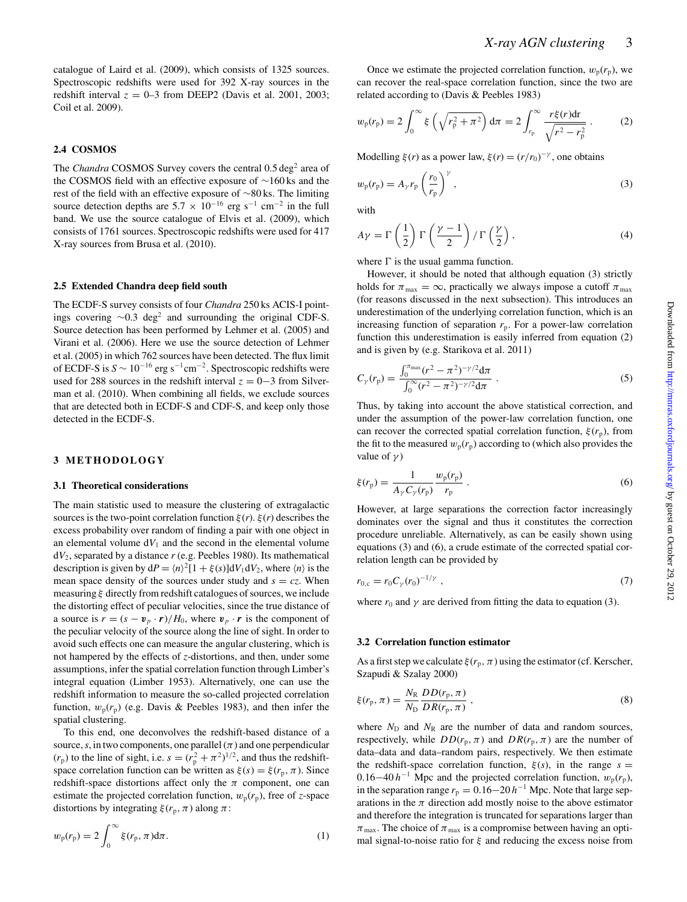catalogue of Laird et al. (2009), which consists of 1325 sources. Spectroscopic redshifts were used for 392 X-ray sources in the redshift interval  $z = 0$ –3 from DEEP2 (Davis et al. 2001, 2003; Coil et al. 2009).

# **2.4 COSMOS**

The *Chandra* COSMOS Survey covers the central 0.5 deg<sup>2</sup> area of the COSMOS field with an effective exposure of ∼160 ks and the rest of the field with an effective exposure of ∼80 ks. The limiting source detection depths are  $5.7 \times 10^{-16}$  erg s<sup>-1</sup> cm<sup>-2</sup> in the full band. We use the source catalogue of Elvis et al. (2009), which consists of 1761 sources. Spectroscopic redshifts were used for 417 X-ray sources from Brusa et al. (2010).

### **2.5 Extended Chandra deep field south**

The ECDF-S survey consists of four *Chandra* 250 ks ACIS-I pointings covering  $~\sim 0.3$  deg<sup>2</sup> and surrounding the original CDF-S. Source detection has been performed by Lehmer et al. (2005) and Virani et al. (2006). Here we use the source detection of Lehmer et al. (2005) in which 762 sources have been detected. The flux limit of ECDF-S is *<sup>S</sup>* <sup>∼</sup> <sup>10</sup>−<sup>16</sup> erg s−1cm−2. Spectroscopic redshifts were used for 288 sources in the redshift interval  $z = 0-3$  from Silverman et al. (2010). When combining all fields, we exclude sources that are detected both in ECDF-S and CDF-S, and keep only those detected in the ECDF-S.

# **3 METHODOLOGY**

#### **3.1 Theoretical considerations**

The main statistic used to measure the clustering of extragalactic sources is the two-point correlation function  $\xi(r)$ .  $\xi(r)$  describes the excess probability over random of finding a pair with one object in an elemental volume  $dV_1$  and the second in the elemental volume  $dV_2$ , separated by a distance  $r$  (e.g. Peebles 1980). Its mathematical description is given by  $dP = \langle n \rangle^2 [1 + \xi(s)] dV_1 dV_2$ , where  $\langle n \rangle$  is the mean space density of the sources under study and  $s = cz$ . When measuring  $\xi$  directly from redshift catalogues of sources, we include the distorting effect of peculiar velocities, since the true distance of a source is  $r = (s - v_p \cdot r)/H_0$ , where  $v_p \cdot r$  is the component of the peculiar velocity of the source along the line of sight. In order to avoid such effects one can measure the angular clustering, which is not hampered by the effects of *z*-distortions, and then, under some assumptions, infer the spatial correlation function through Limber's integral equation (Limber 1953). Alternatively, one can use the redshift information to measure the so-called projected correlation function,  $w_p(r_p)$  (e.g. Davis & Peebles 1983), and then infer the spatial clustering.

To this end, one deconvolves the redshift-based distance of a source, *s*, in two components, one parallel  $(\pi)$  and one perpendicular  $(r_p)$  to the line of sight, i.e.  $s = (r_p^2 + \pi^2)^{1/2}$ , and thus the redshiftspace correlation function can be written as  $\xi(s) = \xi(r_p, \pi)$ . Since redshift-space distortions affect only the  $\pi$  component, one can estimate the projected correlation function,  $w_p(r_p)$ , free of *z*-space distortions by integrating  $\xi(r_p, \pi)$  along  $\pi$ :

$$
w_{\mathbf{p}}(r_{\mathbf{p}}) = 2 \int_0^\infty \xi(r_{\mathbf{p}}, \pi) \mathrm{d}\pi.
$$
 (1)

Once we estimate the projected correlation function,  $w_p(r_p)$ , we can recover the real-space correlation function, since the two are related according to (Davis & Peebles 1983)

$$
w_{\rm p}(r_{\rm p}) = 2 \int_0^\infty \xi \left( \sqrt{r_{\rm p}^2 + \pi^2} \right) d\pi = 2 \int_{r_{\rm p}}^\infty \frac{r \xi(r) dr}{\sqrt{r^2 - r_{\rm p}^2}} \,. \tag{2}
$$

Modelling  $\xi(r)$  as a power law,  $\xi(r) = (r/r_0)^{-\gamma}$ , one obtains

$$
w_{\mathbf{p}}(r_{\mathbf{p}}) = A_{\gamma} r_{\mathbf{p}} \left(\frac{r_0}{r_{\mathbf{p}}}\right)^{\gamma}, \tag{3}
$$

with

$$
A\gamma = \Gamma\left(\frac{1}{2}\right)\Gamma\left(\frac{\gamma - 1}{2}\right) / \Gamma\left(\frac{\gamma}{2}\right),\tag{4}
$$

where  $\Gamma$  is the usual gamma function.

However, it should be noted that although equation (3) strictly holds for  $\pi_{\text{max}} = \infty$ , practically we always impose a cutoff  $\pi_{\text{max}}$ (for reasons discussed in the next subsection). This introduces an underestimation of the underlying correlation function, which is an increasing function of separation  $r_p$ . For a power-law correlation function this underestimation is easily inferred from equation (2) and is given by (e.g. Starikova et al. 2011)

$$
C_{\gamma}(r_{\rm p}) = \frac{\int_0^{\pi_{\rm max}} (r^2 - \pi^2)^{-\gamma/2} d\pi}{\int_0^{\infty} (r^2 - \pi^2)^{-\gamma/2} d\pi} \ . \tag{5}
$$

Thus, by taking into account the above statistical correction, and under the assumption of the power-law correlation function, one can recover the corrected spatial correlation function,  $\xi(r_p)$ , from the fit to the measured  $w_p(r_p)$  according to (which also provides the value of  $\gamma$ )

$$
\xi(r_{\rm p}) = \frac{1}{A_{\gamma} C_{\gamma}(r_{\rm p})} \frac{w_{\rm p}(r_{\rm p})}{r_{\rm p}} \,. \tag{6}
$$

However, at large separations the correction factor increasingly dominates over the signal and thus it constitutes the correction procedure unreliable. Alternatively, as can be easily shown using equations (3) and (6), a crude estimate of the corrected spatial correlation length can be provided by

$$
r_{0,c} = r_0 C_\gamma (r_0)^{-1/\gamma} \tag{7}
$$

where  $r_0$  and  $\gamma$  are derived from fitting the data to equation (3).

#### **3.2 Correlation function estimator**

As a first step we calculate  $\xi(r_p, \pi)$  using the estimator (cf. Kerscher, Szapudi & Szalay 2000)

$$
\xi(r_{\rm p}, \pi) = \frac{N_{\rm R}}{N_{\rm D}} \frac{DD(r_{\rm p}, \pi)}{DR(r_{\rm p}, \pi)} \,, \tag{8}
$$

where  $N_D$  and  $N_R$  are the number of data and random sources, respectively, while  $DD(r_p, \pi)$  and  $DR(r_p, \pi)$  are the number of data–data and data–random pairs, respectively. We then estimate the redshift-space correlation function,  $\xi(s)$ , in the range  $s =$ 0.16−40  $h^{-1}$  Mpc and the projected correlation function,  $w_p(r_p)$ , in the separation range  $r_p = 0.16-20 h^{-1}$  Mpc. Note that large separations in the  $\pi$  direction add mostly noise to the above estimator and therefore the integration is truncated for separations larger than  $\pi_{\text{max}}$ . The choice of  $\pi_{\text{max}}$  is a compromise between having an optimal signal-to-noise ratio for  $\xi$  and reducing the excess noise from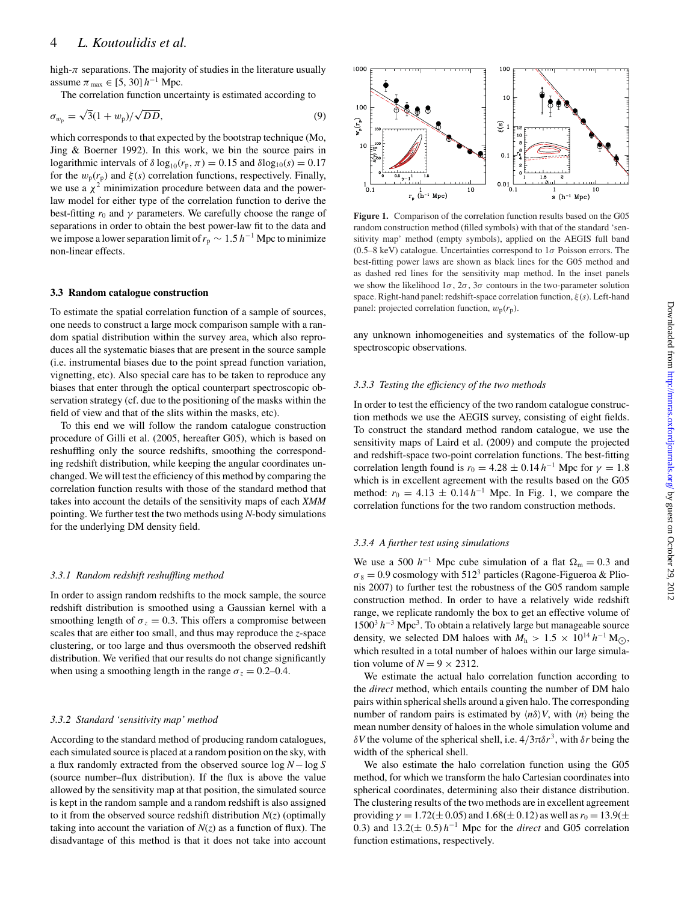high- $\pi$  separations. The majority of studies in the literature usually assume  $\pi_{\text{max}} \in [5, 30] h^{-1}$  Mpc.

The correlation function uncertainty is estimated according to

$$
\sigma_{w_{\rm p}} = \sqrt{3}(1 + w_{\rm p})/\sqrt{DD},\tag{9}
$$

which corresponds to that expected by the bootstrap technique (Mo, Jing & Boerner 1992). In this work, we bin the source pairs in logarithmic intervals of  $\delta \log_{10}(r_p, \pi) = 0.15$  and  $\delta \log_{10}(s) = 0.17$ for the  $w_p(r_p)$  and  $\xi(s)$  correlation functions, respectively. Finally, we use a  $\chi^2$  minimization procedure between data and the powerlaw model for either type of the correlation function to derive the best-fitting  $r_0$  and  $\gamma$  parameters. We carefully choose the range of separations in order to obtain the best power-law fit to the data and we impose a lower separation limit of  $r_p \sim 1.5$  h<sup>-1</sup> Mpc to minimize non-linear effects.

### **3.3 Random catalogue construction**

To estimate the spatial correlation function of a sample of sources, one needs to construct a large mock comparison sample with a random spatial distribution within the survey area, which also reproduces all the systematic biases that are present in the source sample (i.e. instrumental biases due to the point spread function variation, vignetting, etc). Also special care has to be taken to reproduce any biases that enter through the optical counterpart spectroscopic observation strategy (cf. due to the positioning of the masks within the field of view and that of the slits within the masks, etc).

To this end we will follow the random catalogue construction procedure of Gilli et al. (2005, hereafter G05), which is based on reshuffling only the source redshifts, smoothing the corresponding redshift distribution, while keeping the angular coordinates unchanged. We will test the efficiency of this method by comparing the correlation function results with those of the standard method that takes into account the details of the sensitivity maps of each *XMM* pointing. We further test the two methods using *N*-body simulations for the underlying DM density field.

#### *3.3.1 Random redshift reshuffling method*

In order to assign random redshifts to the mock sample, the source redshift distribution is smoothed using a Gaussian kernel with a smoothing length of  $\sigma_z = 0.3$ . This offers a compromise between scales that are either too small, and thus may reproduce the *z*-space clustering, or too large and thus oversmooth the observed redshift distribution. We verified that our results do not change significantly when using a smoothing length in the range  $\sigma_z = 0.2{\text -}0.4$ .

#### *3.3.2 Standard 'sensitivity map' method*

According to the standard method of producing random catalogues, each simulated source is placed at a random position on the sky, with a flux randomly extracted from the observed source log N− log S (source number–flux distribution). If the flux is above the value allowed by the sensitivity map at that position, the simulated source is kept in the random sample and a random redshift is also assigned to it from the observed source redshift distribution  $N(z)$  (optimally taking into account the variation of  $N(z)$  as a function of flux). The disadvantage of this method is that it does not take into account



**Figure 1.** Comparison of the correlation function results based on the G05 random construction method (filled symbols) with that of the standard 'sensitivity map' method (empty symbols), applied on the AEGIS full band (0.5–8 keV) catalogue. Uncertainties correspond to  $1\sigma$  Poisson errors. The best-fitting power laws are shown as black lines for the G05 method and as dashed red lines for the sensitivity map method. In the inset panels we show the likelihood  $1\sigma$ ,  $2\sigma$ ,  $3\sigma$  contours in the two-parameter solution space. Right-hand panel: redshift-space correlation function, ξ (*s*). Left-hand panel: projected correlation function,  $w_p(r_p)$ .

any unknown inhomogeneities and systematics of the follow-up spectroscopic observations.

#### *3.3.3 Testing the efficiency of the two methods*

In order to test the efficiency of the two random catalogue construction methods we use the AEGIS survey, consisting of eight fields. To construct the standard method random catalogue, we use the sensitivity maps of Laird et al. (2009) and compute the projected and redshift-space two-point correlation functions. The best-fitting correlation length found is  $r_0 = 4.28 \pm 0.14 h^{-1}$  Mpc for  $\gamma = 1.8$ which is in excellent agreement with the results based on the G05 method:  $r_0 = 4.13 \pm 0.14 h^{-1}$  Mpc. In Fig. 1, we compare the correlation functions for the two random construction methods.

#### *3.3.4 A further test using simulations*

We use a 500  $h^{-1}$  Mpc cube simulation of a flat  $\Omega_{\rm m} = 0.3$  and  $\sigma_8 = 0.9$  cosmology with 512<sup>3</sup> particles (Ragone-Figueroa & Plionis 2007) to further test the robustness of the G05 random sample construction method. In order to have a relatively wide redshift range, we replicate randomly the box to get an effective volume of 15003 *h*−<sup>3</sup> Mpc3. To obtain a relatively large but manageable source density, we selected DM haloes with  $M_h > 1.5 \times 10^{14} h^{-1} M_{\odot}$ , which resulted in a total number of haloes within our large simulation volume of  $N = 9 \times 2312$ .

We estimate the actual halo correlation function according to the *direct* method, which entails counting the number of DM halo pairs within spherical shells around a given halo. The corresponding number of random pairs is estimated by  $\langle n\delta \rangle V$ , with  $\langle n \rangle$  being the mean number density of haloes in the whole simulation volume and δ*V* the volume of the spherical shell, i.e.  $4/3πδr<sup>3</sup>$ , with δ*r* being the width of the spherical shell.

We also estimate the halo correlation function using the G05 method, for which we transform the halo Cartesian coordinates into spherical coordinates, determining also their distance distribution. The clustering results of the two methods are in excellent agreement providing  $\gamma = 1.72(\pm 0.05)$  and  $1.68(\pm 0.12)$  as well as  $r_0 = 13.9(\pm 0.05)$ 0.3) and 13.2(<sup>±</sup> 0.5) *<sup>h</sup>*−<sup>1</sup> Mpc for the *direct* and G05 correlation function estimations, respectively.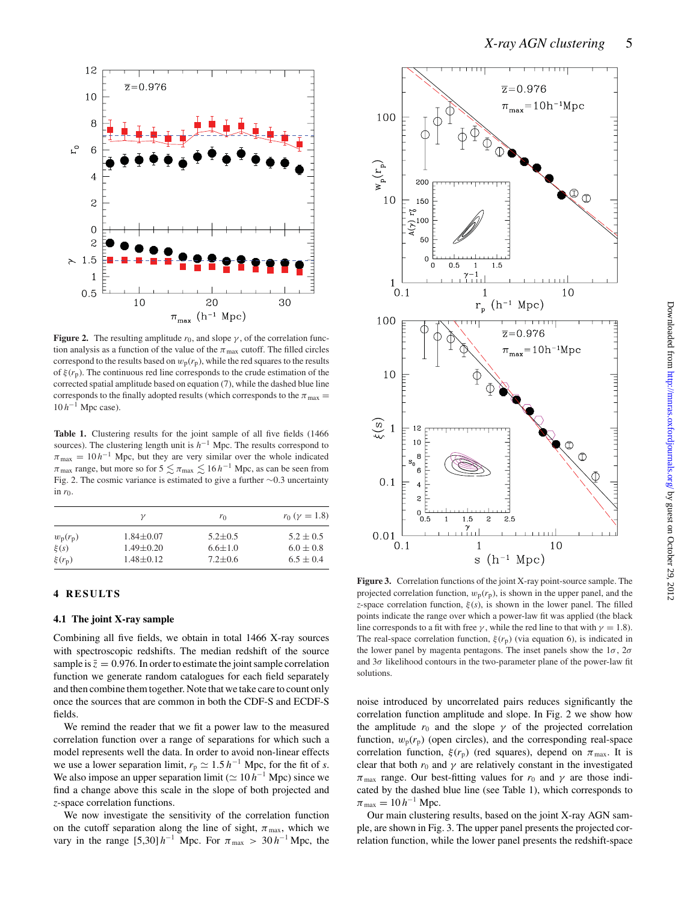

**Figure 2.** The resulting amplitude  $r_0$ , and slope  $\gamma$ , of the correlation function analysis as a function of the value of the  $\pi_{\text{max}}$  cutoff. The filled circles correspond to the results based on  $w_p(r_p)$ , while the red squares to the results of  $\xi(r_p)$ . The continuous red line corresponds to the crude estimation of the corrected spatial amplitude based on equation (7), while the dashed blue line corresponds to the finally adopted results (which corresponds to the  $\pi_{\text{max}} =$ 10 *h*−<sup>1</sup> Mpc case).

**Table 1.** Clustering results for the joint sample of all five fields (1466 sources). The clustering length unit is *h*−<sup>1</sup> Mpc. The results correspond to  $\pi_{\text{max}} = 10 h^{-1}$  Mpc, but they are very similar over the whole indicated  $\pi_{\text{max}}$  range, but more so for 5  $\lesssim \pi_{\text{max}} \lesssim 16 \, h^{-1}$  Mpc, as can be seen from Fig. 2. The cosmic variance is estimated to give a further ∼0.3 uncertainty in  $r_0$ .

|            | ν               | $r_0$         | $r_0$ ( $\gamma = 1.8$ ) |
|------------|-----------------|---------------|--------------------------|
| $w_p(r_p)$ | $1.84 \pm 0.07$ | $5.2 \pm 0.5$ | $5.2 \pm 0.5$            |
| $\xi(s)$   | $1.49 \pm 0.20$ | $6.6 \pm 1.0$ | $6.0 \pm 0.8$            |
| $\xi(r_p)$ | $1.48 + 0.12$   | $7.2 \pm 0.6$ | $6.5 \pm 0.4$            |

# **4 RESULTS**

# **4.1 The joint X-ray sample**

Combining all five fields, we obtain in total 1466 X-ray sources with spectroscopic redshifts. The median redshift of the source sample is  $\bar{z} = 0.976$ . In order to estimate the joint sample correlation function we generate random catalogues for each field separately and then combine them together. Note that we take care to count only once the sources that are common in both the CDF-S and ECDF-S fields.

We remind the reader that we fit a power law to the measured correlation function over a range of separations for which such a model represents well the data. In order to avoid non-linear effects we use a lower separation limit,  $r_p \simeq 1.5 \, h^{-1}$  Mpc, for the fit of *s*. We also impose an upper separation limit ( $\simeq 10 h^{-1}$  Mpc) since we find a change above this scale in the slope of both projected and *z*-space correlation functions.

We now investigate the sensitivity of the correlation function on the cutoff separation along the line of sight,  $\pi_{\text{max}}$ , which we vary in the range [5,30]  $h^{-1}$  Mpc. For  $\pi_{\text{max}} > 30 h^{-1}$  Mpc, the



**Figure 3.** Correlation functions of the joint X-ray point-source sample. The projected correlation function,  $w_p(r_p)$ , is shown in the upper panel, and the *z*-space correlation function,  $\xi(s)$ , is shown in the lower panel. The filled points indicate the range over which a power-law fit was applied (the black line corresponds to a fit with free  $\gamma$ , while the red line to that with  $\gamma = 1.8$ ). The real-space correlation function,  $\xi(r_p)$  (via equation 6), is indicated in the lower panel by magenta pentagons. The inset panels show the  $1\sigma$ ,  $2\sigma$ and  $3\sigma$  likelihood contours in the two-parameter plane of the power-law fit solutions.

noise introduced by uncorrelated pairs reduces significantly the correlation function amplitude and slope. In Fig. 2 we show how the amplitude  $r_0$  and the slope  $\gamma$  of the projected correlation function,  $w_p(r_p)$  (open circles), and the corresponding real-space correlation function,  $\xi(r_p)$  (red squares), depend on  $\pi_{\text{max}}$ . It is clear that both  $r_0$  and  $\gamma$  are relatively constant in the investigated  $\pi_{\text{max}}$  range. Our best-fitting values for  $r_0$  and  $\gamma$  are those indicated by the dashed blue line (see Table 1), which corresponds to  $\pi_{\text{max}} = 10 h^{-1} \text{ Mpc}.$ 

Our main clustering results, based on the joint X-ray AGN sample, are shown in Fig. 3. The upper panel presents the projected correlation function, while the lower panel presents the redshift-space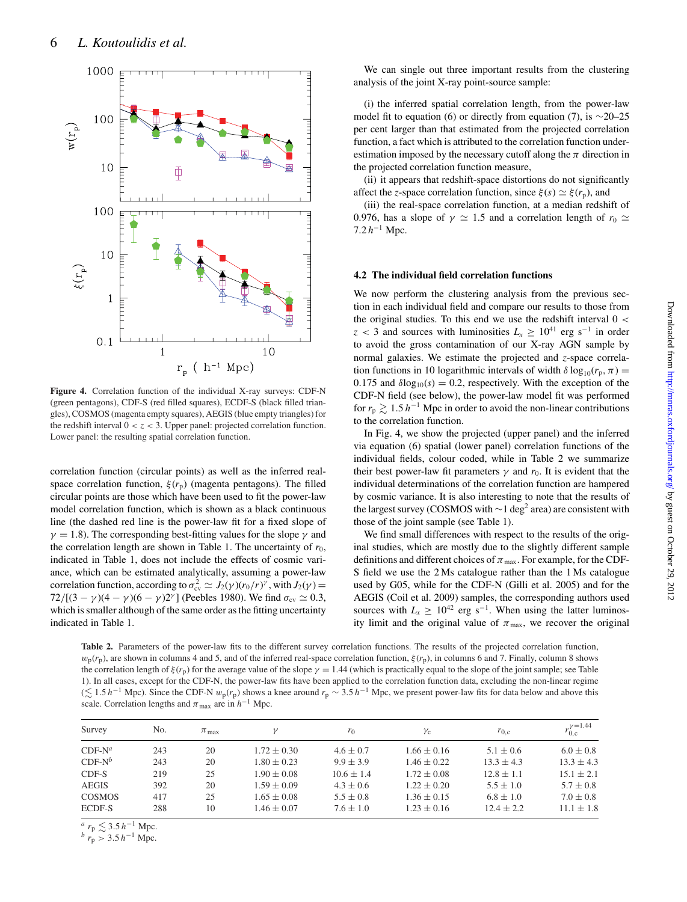

**Figure 4.** Correlation function of the individual X-ray surveys: CDF-N (green pentagons), CDF-S (red filled squares), ECDF-S (black filled triangles), COSMOS (magenta empty squares), AEGIS (blue empty triangles) for the redshift interval  $0 < z < 3$ . Upper panel: projected correlation function. Lower panel: the resulting spatial correlation function.

correlation function (circular points) as well as the inferred realspace correlation function,  $\xi(r_p)$  (magenta pentagons). The filled circular points are those which have been used to fit the power-law model correlation function, which is shown as a black continuous line (the dashed red line is the power-law fit for a fixed slope of  $\gamma = 1.8$ ). The corresponding best-fitting values for the slope  $\gamma$  and the correlation length are shown in Table 1. The uncertainty of  $r_0$ , indicated in Table 1, does not include the effects of cosmic variance, which can be estimated analytically, assuming a power-law correlation function, according to  $\sigma_{\text{cv}}^2 \simeq J_2(\gamma)(r_0/r)^\gamma$ , with  $J_2(\gamma) =$  $72/[(3 - \gamma)(4 - \gamma)(6 - \gamma)2^{\gamma}]$  (Peebles 1980). We find  $\sigma_{\text{cv}} \simeq 0.3$ , which is smaller although of the same order as the fitting uncertainty indicated in Table 1.

We can single out three important results from the clustering analysis of the joint X-ray point-source sample:

(i) the inferred spatial correlation length, from the power-law model fit to equation (6) or directly from equation (7), is  $\sim$ 20–25 per cent larger than that estimated from the projected correlation function, a fact which is attributed to the correlation function underestimation imposed by the necessary cutoff along the  $\pi$  direction in the projected correlation function measure,

(ii) it appears that redshift-space distortions do not significantly affect the *z*-space correlation function, since  $\xi(s) \simeq \xi(r_p)$ , and

(iii) the real-space correlation function, at a median redshift of 0.976, has a slope of  $\gamma \simeq 1.5$  and a correlation length of  $r_0 \simeq$  $7.2 h^{-1}$  Mpc.

#### **4.2 The individual field correlation functions**

We now perform the clustering analysis from the previous section in each individual field and compare our results to those from the original studies. To this end we use the redshift interval  $0 <$  $z < 3$  and sources with luminosities  $L_x \ge 10^{41}$  erg s<sup>-1</sup> in order to avoid the gross contamination of our X-ray AGN sample by normal galaxies. We estimate the projected and *z*-space correlation functions in 10 logarithmic intervals of width  $\delta \log_{10}(r_p, \pi) =$ 0.175 and  $\delta \log_{10}(s) = 0.2$ , respectively. With the exception of the CDF-N field (see below), the power-law model fit was performed for  $r_p \gtrsim 1.5$  h<sup>-1</sup> Mpc in order to avoid the non-linear contributions to the correlation function.

In Fig. 4, we show the projected (upper panel) and the inferred via equation (6) spatial (lower panel) correlation functions of the individual fields, colour coded, while in Table 2 we summarize their best power-law fit parameters  $\gamma$  and  $r_0$ . It is evident that the individual determinations of the correlation function are hampered by cosmic variance. It is also interesting to note that the results of the largest survey (COSMOS with ∼1 deg<sup>2</sup> area) are consistent with those of the joint sample (see Table 1).

We find small differences with respect to the results of the original studies, which are mostly due to the slightly different sample definitions and different choices of  $\pi_{\text{max}}$ . For example, for the CDF-S field we use the 2 Ms catalogue rather than the 1 Ms catalogue used by G05, while for the CDF-N (Gilli et al. 2005) and for the AEGIS (Coil et al. 2009) samples, the corresponding authors used sources with  $L_x \geq 10^{42}$  erg s<sup>-1</sup>. When using the latter luminosity limit and the original value of  $\pi_{\text{max}}$ , we recover the original

**Table 2.** Parameters of the power-law fits to the different survey correlation functions. The results of the projected correlation function,  $w_p(r_p)$ , are shown in columns 4 and 5, and of the inferred real-space correlation function,  $\xi(r_p)$ , in columns 6 and 7. Finally, column 8 shows the correlation length of  $\xi(r_p)$  for the average value of the slope  $\gamma = 1.44$  (which is practically equal to the slope of the joint sample; see Table 1). In all cases, except for the CDF-N, the power-law fits have been applied to the correlation function data, excluding the non-linear regime ( $\lesssim$  1.5 h<sup>-1</sup> Mpc). Since the CDF-N  $w_p(r_p)$  shows a knee around  $r_p \sim 3.5 h^{-1}$  Mpc, we present power-law fits for data below and above this scale. Correlation lengths and  $\pi_{\text{max}}$  are in  $h^{-1}$  Mpc.

| Survey        | No. | $\pi_{\text{max}}$ | ν               | $r_0$          | $\gamma_c$      | $r_{0,c}$      | $\nu = 1.44$<br>$r_{0,c}'$ |
|---------------|-----|--------------------|-----------------|----------------|-----------------|----------------|----------------------------|
| $CDF-N^a$     | 243 | 20                 | $1.72 \pm 0.30$ | $4.6 \pm 0.7$  | $1.66 \pm 0.16$ | $5.1 \pm 0.6$  | $6.0 \pm 0.8$              |
| $CDF-N^b$     | 243 | 20                 | $1.80 \pm 0.23$ | $9.9 + 3.9$    | $1.46 \pm 0.22$ | $13.3 \pm 4.3$ | $13.3 \pm 4.3$             |
| CDF-S         | 219 | 25                 | $1.90 \pm 0.08$ | $10.6 \pm 1.4$ | $1.72 \pm 0.08$ | $12.8 \pm 1.1$ | $15.1 \pm 2.1$             |
| <b>AEGIS</b>  | 392 | 20                 | $1.59 \pm 0.09$ | $4.3 \pm 0.6$  | $1.22 \pm 0.20$ | $5.5 \pm 1.0$  | $5.7 \pm 0.8$              |
| <b>COSMOS</b> | 417 | 25                 | $1.65 \pm 0.08$ | $5.5 + 0.8$    | $1.36 \pm 0.15$ | $6.8 \pm 1.0$  | $7.0 \pm 0.8$              |
| ECDF-S        | 288 | 10                 | $1.46 \pm 0.07$ | $7.6 \pm 1.0$  | $1.23 \pm 0.16$ | $12.4 \pm 2.2$ | $11.1 \pm 1.8$             |

<sup>*a*</sup>  $r_p \lesssim 3.5 h^{-1}$  Mpc.

 $b r_p > 3.5 h^{-1}$  Mpc.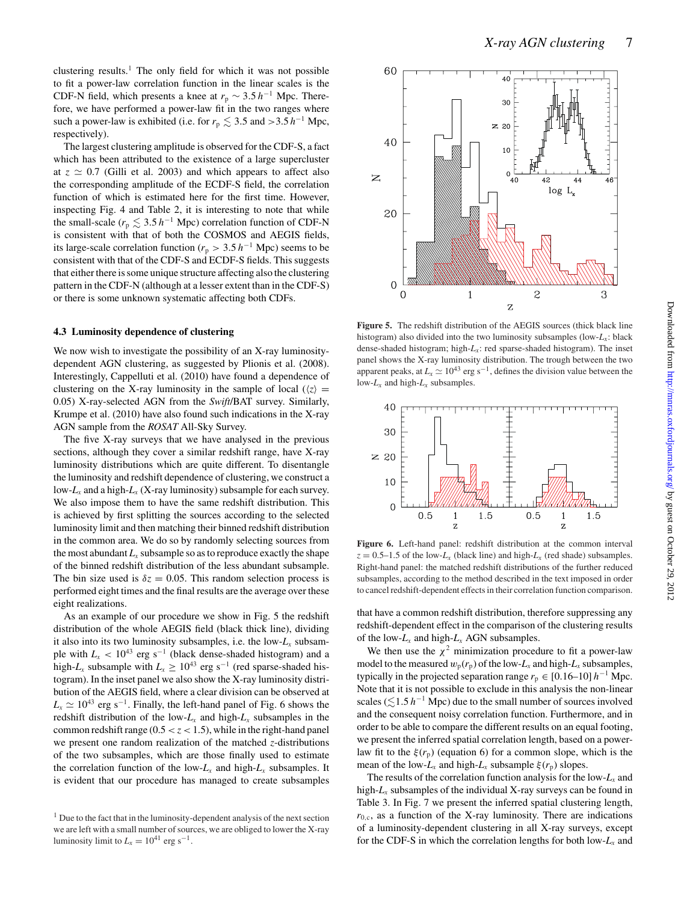clustering results.<sup>1</sup> The only field for which it was not possible to fit a power-law correlation function in the linear scales is the CDF-N field, which presents a knee at  $r_p \sim 3.5 h^{-1}$  Mpc. Therefore, we have performed a power-law fit in the two ranges where such a power-law is exhibited (i.e. for  $r_p \leq 3.5$  and >3.5  $h^{-1}$  Mpc, respectively).

The largest clustering amplitude is observed for the CDF-S, a fact which has been attributed to the existence of a large supercluster at  $z \approx 0.7$  (Gilli et al. 2003) and which appears to affect also the corresponding amplitude of the ECDF-S field, the correlation function of which is estimated here for the first time. However, inspecting Fig. 4 and Table 2, it is interesting to note that while the small-scale ( $r_p \lesssim 3.5 h^{-1}$  Mpc) correlation function of CDF-N is consistent with that of both the COSMOS and AEGIS fields, its large-scale correlation function ( $r_p > 3.5 h^{-1}$  Mpc) seems to be consistent with that of the CDF-S and ECDF-S fields. This suggests that either there is some unique structure affecting also the clustering pattern in the CDF-N (although at a lesser extent than in the CDF-S) or there is some unknown systematic affecting both CDFs.

#### **4.3 Luminosity dependence of clustering**

We now wish to investigate the possibility of an X-ray luminositydependent AGN clustering, as suggested by Plionis et al. (2008). Interestingly, Cappelluti et al. (2010) have found a dependence of clustering on the X-ray luminosity in the sample of local  $(\langle z \rangle =$ 0.05) X-ray-selected AGN from the *Swift*/BAT survey. Similarly, Krumpe et al. (2010) have also found such indications in the X-ray AGN sample from the *ROSAT* All-Sky Survey.

The five X-ray surveys that we have analysed in the previous sections, although they cover a similar redshift range, have X-ray luminosity distributions which are quite different. To disentangle the luminosity and redshift dependence of clustering, we construct a low- $L<sub>x</sub>$  and a high- $L<sub>x</sub>$  (X-ray luminosity) subsample for each survey. We also impose them to have the same redshift distribution. This is achieved by first splitting the sources according to the selected luminosity limit and then matching their binned redshift distribution in the common area. We do so by randomly selecting sources from the most abundant  $L_x$  subsample so as to reproduce exactly the shape of the binned redshift distribution of the less abundant subsample. The bin size used is  $\delta z = 0.05$ . This random selection process is performed eight times and the final results are the average over these eight realizations.

As an example of our procedure we show in Fig. 5 the redshift distribution of the whole AEGIS field (black thick line), dividing it also into its two luminosity subsamples, i.e. the low-*Lx* subsample with  $L_x$  < 10<sup>43</sup> erg s<sup>-1</sup> (black dense-shaded histogram) and a high- $L_x$  subsample with  $L_x \ge 10^{43}$  erg s<sup>-1</sup> (red sparse-shaded histogram). In the inset panel we also show the X-ray luminosity distribution of the AEGIS field, where a clear division can be observed at  $L_x \simeq 10^{43}$  erg s<sup>-1</sup>. Finally, the left-hand panel of Fig. 6 shows the redshift distribution of the low- $L_x$  and high- $L_x$  subsamples in the common redshift range  $(0.5 < z < 1.5)$ , while in the right-hand panel we present one random realization of the matched *z*-distributions of the two subsamples, which are those finally used to estimate the correlation function of the low- $L_x$  and high- $L_x$  subsamples. It is evident that our procedure has managed to create subsamples



**Figure 5.** The redshift distribution of the AEGIS sources (thick black line histogram) also divided into the two luminosity subsamples (low-*Lx*: black dense-shaded histogram; high-*Lx*: red sparse-shaded histogram). The inset panel shows the X-ray luminosity distribution. The trough between the two apparent peaks, at  $L_x \simeq 10^{43}$  erg s<sup>-1</sup>, defines the division value between the low- $L_x$  and high- $L_x$  subsamples.



**Figure 6.** Left-hand panel: redshift distribution at the common interval  $z = 0.5-1.5$  of the low- $L_x$  (black line) and high- $L_x$  (red shade) subsamples. Right-hand panel: the matched redshift distributions of the further reduced subsamples, according to the method described in the text imposed in order to cancel redshift-dependent effects in their correlation function comparison.

that have a common redshift distribution, therefore suppressing any redshift-dependent effect in the comparison of the clustering results of the low-*Lx* and high-*Lx* AGN subsamples.

We then use the  $\chi^2$  minimization procedure to fit a power-law model to the measured  $w_p(r_p)$  of the low- $L_x$  and high- $L_x$  subsamples, typically in the projected separation range  $r_p \in [0.16-10] h^{-1}$  Mpc. Note that it is not possible to exclude in this analysis the non-linear scales ( $\leq 1.5$  h<sup>-1</sup> Mpc) due to the small number of sources involved and the consequent noisy correlation function. Furthermore, and in order to be able to compare the different results on an equal footing, we present the inferred spatial correlation length, based on a powerlaw fit to the  $\xi(r_p)$  (equation 6) for a common slope, which is the mean of the low- $L_x$  and high- $L_x$  subsample  $\xi(r_p)$  slopes.

The results of the correlation function analysis for the low- $L<sub>x</sub>$  and high- $L<sub>x</sub>$  subsamples of the individual X-ray surveys can be found in Table 3. In Fig. 7 we present the inferred spatial clustering length,  $r_{0,c}$ , as a function of the X-ray luminosity. There are indications of a luminosity-dependent clustering in all X-ray surveys, except for the CDF-S in which the correlation lengths for both low- $L<sub>x</sub>$  and

<sup>&</sup>lt;sup>1</sup> Due to the fact that in the luminosity-dependent analysis of the next section we are left with a small number of sources, we are obliged to lower the X-ray luminosity limit to  $L_x = 10^{41}$  erg s<sup>-1</sup>.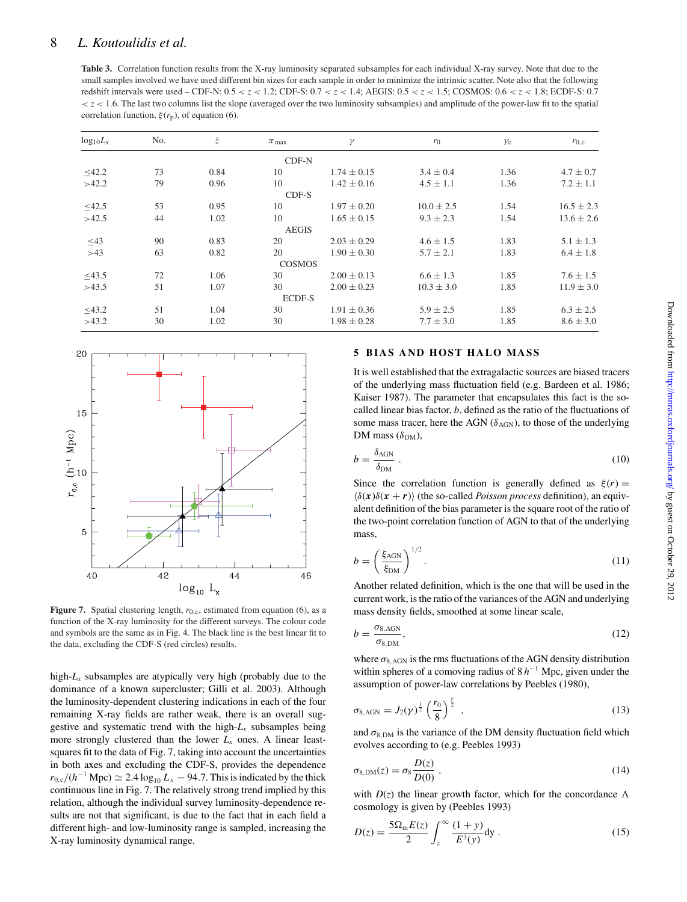# 8 *L. Koutoulidis et al.*

**Table 3.** Correlation function results from the X-ray luminosity separated subsamples for each individual X-ray survey. Note that due to the small samples involved we have used different bin sizes for each sample in order to minimize the intrinsic scatter. Note also that the following redshift intervals were used – CDF-N: 0.5 < *z* < 1.2; CDF-S: 0.7 < *z* < 1.4; AEGIS: 0.5 < *z* < 1.5; COSMOS: 0.6 < *z* < 1.8; ECDF-S: 0.7 < *z* < 1.6. The last two columns list the slope (averaged over the two luminosity subsamples) and amplitude of the power-law fit to the spatial correlation function,  $\xi(r_p)$ , of equation (6).

| $log_{10}L_x$ | No. | $\overline{z}$ | $\pi_{\text{max}}$ | $\gamma$        | $r_0$          | $\gamma_c$ | $r_{0,c}$      |
|---------------|-----|----------------|--------------------|-----------------|----------------|------------|----------------|
|               |     |                | $CDF-N$            |                 |                |            |                |
| $\leq 42.2$   | 73  | 0.84           | 10                 | $1.74 \pm 0.15$ | $3.4 \pm 0.4$  | 1.36       | $4.7 \pm 0.7$  |
| >42.2         | 79  | 0.96           | 10                 | $1.42 \pm 0.16$ | $4.5 \pm 1.1$  | 1.36       | $7.2 \pm 1.1$  |
|               |     |                | CDF-S              |                 |                |            |                |
| $\leq 42.5$   | 53  | 0.95           | 10                 | $1.97 \pm 0.20$ | $10.0 \pm 2.5$ | 1.54       | $16.5 \pm 2.3$ |
| >42.5         | 44  | 1.02           | 10                 | $1.65 \pm 0.15$ | $9.3 \pm 2.3$  | 1.54       | $13.6 \pm 2.6$ |
|               |     |                | <b>AEGIS</b>       |                 |                |            |                |
| $\leq$ 43     | 90  | 0.83           | 20                 | $2.03 \pm 0.29$ | $4.6 \pm 1.5$  | 1.83       | $5.1 \pm 1.3$  |
| >43           | 63  | 0.82           | 20                 | $1.90 \pm 0.30$ | $5.7 \pm 2.1$  | 1.83       | $6.4 \pm 1.8$  |
|               |     |                | <b>COSMOS</b>      |                 |                |            |                |
| $\leq 43.5$   | 72  | 1.06           | 30                 | $2.00 \pm 0.13$ | $6.6 \pm 1.3$  | 1.85       | $7.6 \pm 1.5$  |
| >43.5         | 51  | 1.07           | 30                 | $2.00 \pm 0.23$ | $10.3 \pm 3.0$ | 1.85       | $11.9 \pm 3.0$ |
|               |     |                | <b>ECDF-S</b>      |                 |                |            |                |
| $\leq 43.2$   | 51  | 1.04           | 30                 | $1.91 \pm 0.36$ | $5.9 \pm 2.5$  | 1.85       | $6.3 \pm 2.5$  |
| >43.2         | 30  | 1.02           | 30                 | $1.98 \pm 0.28$ | $7.7 \pm 3.0$  | 1.85       | $8.6 \pm 3.0$  |



**Figure 7.** Spatial clustering length,  $r_{0,c}$ , estimated from equation (6), as a function of the X-ray luminosity for the different surveys. The colour code and symbols are the same as in Fig. 4. The black line is the best linear fit to the data, excluding the CDF-S (red circles) results.

high- $L<sub>x</sub>$  subsamples are atypically very high (probably due to the dominance of a known supercluster; Gilli et al. 2003). Although the luminosity-dependent clustering indications in each of the four remaining X-ray fields are rather weak, there is an overall suggestive and systematic trend with the high- $L<sub>x</sub>$  subsamples being more strongly clustered than the lower  $L<sub>x</sub>$  ones. A linear leastsquares fit to the data of Fig. 7, taking into account the uncertainties in both axes and excluding the CDF-S, provides the dependence  $r_{0,c}/(h^{-1}$  Mpc)  $\simeq 2.4 \log_{10} L_x - 94.7$ . This is indicated by the thick continuous line in Fig. 7. The relatively strong trend implied by this relation, although the individual survey luminosity-dependence results are not that significant, is due to the fact that in each field a different high- and low-luminosity range is sampled, increasing the X-ray luminosity dynamical range.

# **5 BIAS AND HOST HALO MASS**

It is well established that the extragalactic sources are biased tracers of the underlying mass fluctuation field (e.g. Bardeen et al. 1986; Kaiser 1987). The parameter that encapsulates this fact is the socalled linear bias factor, *b*, defined as the ratio of the fluctuations of some mass tracer, here the AGN ( $\delta$ <sub>AGN</sub>), to those of the underlying DM mass  $(\delta_{DM})$ ,

$$
b = \frac{\delta_{\text{AGN}}}{\delta_{\text{DM}}} \,. \tag{10}
$$

Since the correlation function is generally defined as  $\xi(r) =$  $\langle \delta(\mathbf{x}) \delta(\mathbf{x} + \mathbf{r}) \rangle$  (the so-called *Poisson process* definition), an equivalent definition of the bias parameter is the square root of the ratio of the two-point correlation function of AGN to that of the underlying mass,

$$
b = \left(\frac{\xi_{\text{AGN}}}{\xi_{\text{DM}}}\right)^{1/2}.\tag{11}
$$

Another related definition, which is the one that will be used in the current work, is the ratio of the variances of the AGN and underlying mass density fields, smoothed at some linear scale,

$$
b = \frac{\sigma_{8, \text{AGN}}}{\sigma_{8, \text{DM}}},\tag{12}
$$

where  $\sigma_{8,AGN}$  is the rms fluctuations of the AGN density distribution within spheres of a comoving radius of 8 *h*−<sup>1</sup> Mpc, given under the assumption of power-law correlations by Peebles (1980),

$$
\sigma_{8,AGN} = J_2(\gamma)^{\frac{1}{2}} \left(\frac{r_0}{8}\right)^{\frac{\gamma}{2}}, \qquad (13)
$$

and  $\sigma_{8,DM}$  is the variance of the DM density fluctuation field which evolves according to (e.g. Peebles 1993)

$$
\sigma_{8,\text{DM}}(z) = \sigma_8 \frac{D(z)}{D(0)} \,, \tag{14}
$$

with  $D(z)$  the linear growth factor, which for the concordance  $\Lambda$ cosmology is given by (Peebles 1993)

$$
D(z) = \frac{5\Omega_{\rm m}E(z)}{2} \int_{z}^{\infty} \frac{(1+y)}{E^3(y)} dy.
$$
 (15)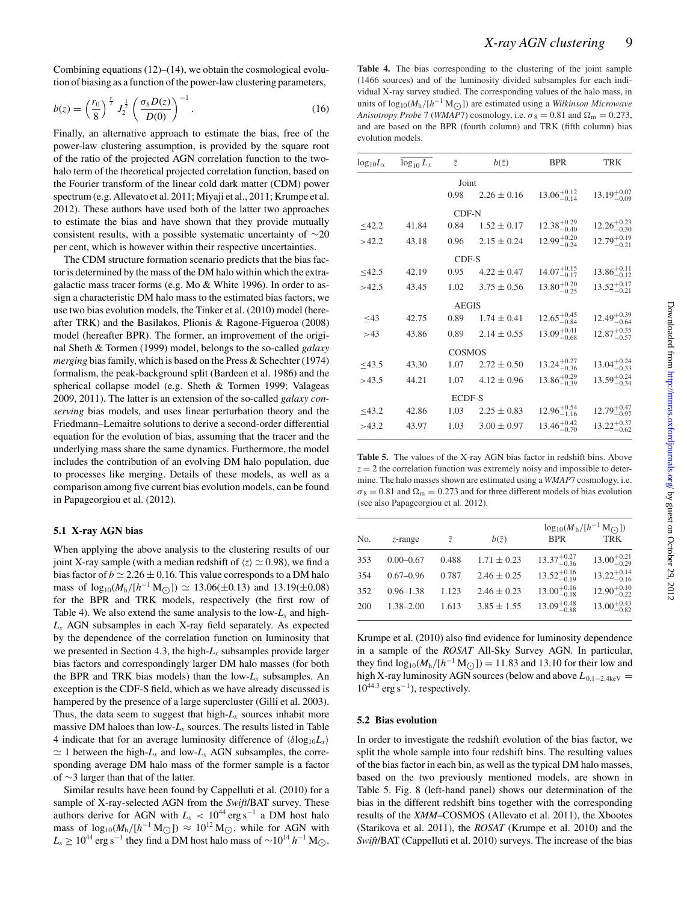Combining equations  $(12)$ – $(14)$ , we obtain the cosmological evolution of biasing as a function of the power-law clustering parameters,

$$
b(z) = \left(\frac{r_0}{8}\right)^{\frac{y}{2}} J_2^{\frac{1}{2}} \left(\frac{\sigma_8 D(z)}{D(0)}\right)^{-1}.
$$
 (16)

Finally, an alternative approach to estimate the bias, free of the power-law clustering assumption, is provided by the square root of the ratio of the projected AGN correlation function to the twohalo term of the theoretical projected correlation function, based on the Fourier transform of the linear cold dark matter (CDM) power spectrum (e.g. Allevato et al. 2011; Miyaji et al., 2011; Krumpe et al. 2012). These authors have used both of the latter two approaches to estimate the bias and have shown that they provide mutually consistent results, with a possible systematic uncertainty of ∼20 per cent, which is however within their respective uncertainties.

The CDM structure formation scenario predicts that the bias factor is determined by the mass of the DM halo within which the extragalactic mass tracer forms (e.g. Mo & White 1996). In order to assign a characteristic DM halo mass to the estimated bias factors, we use two bias evolution models, the Tinker et al. (2010) model (hereafter TRK) and the Basilakos, Plionis & Ragone-Figueroa (2008) model (hereafter BPR). The former, an improvement of the original Sheth & Tormen (1999) model, belongs to the so-called *galaxy merging* bias family, which is based on the Press & Schechter (1974) formalism, the peak-background split (Bardeen et al. 1986) and the spherical collapse model (e.g. Sheth & Tormen 1999; Valageas 2009, 2011). The latter is an extension of the so-called *galaxy conserving* bias models, and uses linear perturbation theory and the Friedmann–Lemaitre solutions to derive a second-order differential equation for the evolution of bias, assuming that the tracer and the underlying mass share the same dynamics. Furthermore, the model includes the contribution of an evolving DM halo population, due to processes like merging. Details of these models, as well as a comparison among five current bias evolution models, can be found in Papageorgiou et al. (2012).

# **5.1 X-ray AGN bias**

When applying the above analysis to the clustering results of our joint X-ray sample (with a median redshift of  $\langle z \rangle \simeq 0.98$ ), we find a bias factor of  $b \approx 2.26 \pm 0.16$ . This value corresponds to a DM halo mass of  $\log_{10}(M_h/[h^{-1} M_\odot]) \simeq 13.06(\pm 0.13)$  and  $13.19(\pm 0.08)$ for the BPR and TRK models, respectively (the first row of Table 4). We also extend the same analysis to the low- $L<sub>x</sub>$  and high-*Lx* AGN subsamples in each X-ray field separately. As expected by the dependence of the correlation function on luminosity that we presented in Section 4.3, the high-*Lx* subsamples provide larger bias factors and correspondingly larger DM halo masses (for both the BPR and TRK bias models) than the low- $L<sub>x</sub>$  subsamples. An exception is the CDF-S field, which as we have already discussed is hampered by the presence of a large supercluster (Gilli et al. 2003). Thus, the data seem to suggest that high- $L<sub>x</sub>$  sources inhabit more massive DM haloes than low-*Lx* sources. The results listed in Table 4 indicate that for an average luminosity difference of  $\langle \delta \log_{10} L_x \rangle$  $\simeq$  1 between the high- $L_x$  and low- $L_x$  AGN subsamples, the corresponding average DM halo mass of the former sample is a factor of ∼3 larger than that of the latter.

Similar results have been found by Cappelluti et al. (2010) for a sample of X-ray-selected AGN from the *Swift*/BAT survey. These authors derive for AGN with  $L_x < 10^{44}$  erg s<sup>-1</sup> a DM host halo mass of  $\log_{10}(M_h/[h^{-1} M_{\odot}]) \approx 10^{12} M_{\odot}$ , while for AGN with  $L_x \ge 10^{44}$  erg s<sup>-1</sup> they find a DM host halo mass of  $\sim 10^{14}$  *h*<sup>-1</sup> M<sub>○</sub>.

Table 4. The bias corresponding to the clustering of the joint sample (1466 sources) and of the luminosity divided subsamples for each individual X-ray survey studied. The corresponding values of the halo mass, in units of  $log_{10}(M_h/[h^{-1} M_{\odot}])$  are estimated using a *Wilkinson Microwave Anisotropy Probe* 7 (*WMAP*7) cosmology, i.e.  $\sigma_8 = 0.81$  and  $\Omega_m = 0.273$ , and are based on the BPR (fourth column) and TRK (fifth column) bias evolution models.

| $log_{10}L_x$ | $\log_{10} L_x$ | $\overline{z}$ | $b(\bar{z})$    | <b>BPR</b>              | TRK                     |
|---------------|-----------------|----------------|-----------------|-------------------------|-------------------------|
|               |                 | Joint          |                 |                         |                         |
|               |                 | 0.98           | $2.26 \pm 0.16$ | $13.06^{+0.12}_{-0.14}$ | $13.19^{+0.07}_{-0.09}$ |
|               |                 | CDF-N          |                 |                         |                         |
| <42.2         | 41.84           | 0.84           | $1.52 \pm 0.17$ | $12.38^{+0.29}_{-0.40}$ | $12.26^{+0.23}_{-0.30}$ |
| >42.2         | 43.18           | 0.96           | $2.15 \pm 0.24$ | $12.99^{+0.20}_{-0.24}$ | $12.79^{+0.19}_{-0.21}$ |
|               |                 | CDF-S          |                 |                         |                         |
| $\leq 42.5$   | 42.19           | 0.95           | $4.22 \pm 0.47$ | $14.07^{+0.15}_{-0.17}$ | $13.86^{+0.11}_{-0.12}$ |
| >42.5         | 43.45           | 1.02           | $3.75 \pm 0.56$ | $13.80^{+0.20}_{-0.25}$ | $13.52^{+0.17}_{-0.21}$ |
|               |                 | <b>AEGIS</b>   |                 |                         |                         |
| $\leq$ 43     | 42.75           | 0.89           | $1.74 \pm 0.41$ | $12.65^{+0.45}_{-0.84}$ | $12.49^{+0.39}_{-0.64}$ |
| >43           | 43.86           | 0.89           | $2.14 \pm 0.55$ | $13.09^{+0.41}_{-0.68}$ | $12.87^{+0.35}_{-0.57}$ |
|               |                 | <b>COSMOS</b>  |                 |                         |                         |
| $<$ 43.5      | 43.30           | 1.07           | $2.72 \pm 0.50$ | $13.24^{+0.27}_{-0.36}$ | $13.04^{+0.24}_{-0.33}$ |
| >43.5         | 44.21           | 1.07           | $4.12 \pm 0.96$ | $13.86^{+0.29}_{-0.39}$ | $13.59^{+0.24}_{-0.34}$ |
|               |                 | <b>ECDF-S</b>  |                 |                         |                         |
| $<$ 43.2      | 42.86           | 1.03           | $2.25 \pm 0.83$ | $12.96^{+0.54}_{-1.16}$ | $12.79^{+0.47}_{-0.97}$ |
| >43.2         | 43.97           | 1.03           | $3.00 \pm 0.97$ | $13.46^{+0.42}_{-0.70}$ | $13.22^{+0.37}_{-0.62}$ |
|               |                 |                |                 |                         |                         |

Table 5. The values of the X-ray AGN bias factor in redshift bins. Above  $z = 2$  the correlation function was extremely noisy and impossible to determine. The halo masses shown are estimated using a *WMAP*7 cosmology, i.e.  $\sigma_8 = 0.81$  and  $\Omega_m = 0.273$  and for three different models of bias evolution (see also Papageorgiou et al. 2012).

|               |       |                 | $\log_{10}(M_h/[h^{-1} M_{\odot}])$ |                         |  |
|---------------|-------|-----------------|-------------------------------------|-------------------------|--|
| $z$ -range    | z.    | $b(\bar{z})$    | <b>BPR</b>                          | <b>TRK</b>              |  |
| $0.00 - 0.67$ | 0.488 | $1.71 \pm 0.23$ | $13.37^{+0.27}_{-0.36}$             | $13.00^{+0.21}_{-0.29}$ |  |
| $0.67 - 0.96$ | 0.787 | $2.46 \pm 0.25$ | $13.52^{+0.16}_{-0.19}$             | $13.22^{+0.14}_{-0.16}$ |  |
| $0.96 - 1.38$ | 1.123 | $2.46 \pm 0.23$ | $13.00^{+0.16}_{-0.18}$             | $12.90^{+0.10}_{-0.22}$ |  |
| $1.38 - 2.00$ | 1.613 | $3.85 \pm 1.55$ | $13.09^{+0.48}_{-0.88}$             | $13.00^{+0.43}_{-0.82}$ |  |
|               |       |                 |                                     |                         |  |

Krumpe et al. (2010) also find evidence for luminosity dependence in a sample of the *ROSAT* All-Sky Survey AGN. In particular, they find  $\log_{10}(M_h/[h^{-1} M_{\odot}]) = 11.83$  and 13.10 for their low and high X-ray luminosity AGN sources (below and above  $L_{0.1-2.4 \text{keV}} =$  $10^{44.3}$  erg s<sup>-1</sup>), respectively.

### **5.2 Bias evolution**

In order to investigate the redshift evolution of the bias factor, we split the whole sample into four redshift bins. The resulting values of the bias factor in each bin, as well as the typical DM halo masses, based on the two previously mentioned models, are shown in Table 5. Fig. 8 (left-hand panel) shows our determination of the bias in the different redshift bins together with the corresponding results of the *XMM*–COSMOS (Allevato et al. 2011), the Xbootes (Starikova et al. 2011), the *ROSAT* (Krumpe et al. 2010) and the *Swift*/BAT (Cappelluti et al. 2010) surveys. The increase of the bias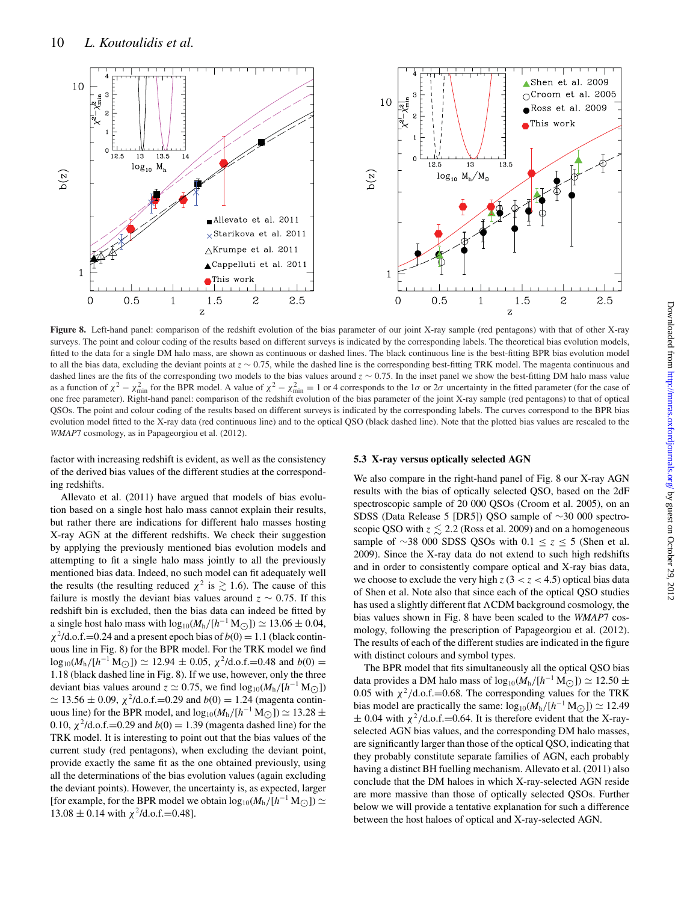

**Figure 8.** Left-hand panel: comparison of the redshift evolution of the bias parameter of our joint X-ray sample (red pentagons) with that of other X-ray surveys. The point and colour coding of the results based on different surveys is indicated by the corresponding labels. The theoretical bias evolution models, fitted to the data for a single DM halo mass, are shown as continuous or dashed lines. The black continuous line is the best-fitting BPR bias evolution model to all the bias data, excluding the deviant points at *z* ∼ 0.75, while the dashed line is the corresponding best-fitting TRK model. The magenta continuous and dashed lines are the fits of the corresponding two models to the bias values around *z* ∼ 0.75. In the inset panel we show the best-fitting DM halo mass value as a function of  $\chi^2 - \chi_{\text{min}}^2$  for the BPR model. A value of  $\chi^2 - \chi_{\text{min}}^2 = 1$  or 4 corresponds to the 1 $\sigma$  or 2 $\sigma$  uncertainty in the fitted parameter (for the case of one free parameter). Right-hand panel: comparison of the redshift evolution of the bias parameter of the joint X-ray sample (red pentagons) to that of optical QSOs. The point and colour coding of the results based on different surveys is indicated by the corresponding labels. The curves correspond to the BPR bias evolution model fitted to the X-ray data (red continuous line) and to the optical QSO (black dashed line). Note that the plotted bias values are rescaled to the *WMAP*7 cosmology, as in Papageorgiou et al. (2012).

factor with increasing redshift is evident, as well as the consistency of the derived bias values of the different studies at the corresponding redshifts.

Allevato et al. (2011) have argued that models of bias evolution based on a single host halo mass cannot explain their results, but rather there are indications for different halo masses hosting X-ray AGN at the different redshifts. We check their suggestion by applying the previously mentioned bias evolution models and attempting to fit a single halo mass jointly to all the previously mentioned bias data. Indeed, no such model can fit adequately well the results (the resulting reduced  $\chi^2$  is  $\gtrsim 1.6$ ). The cause of this failure is mostly the deviant bias values around  $z \sim 0.75$ . If this redshift bin is excluded, then the bias data can indeed be fitted by a single host halo mass with  $\log_{10}(M_h/[h^{-1} M_\odot]) \approx 13.06 \pm 0.04$ ,  $\chi^2$ /d.o.f.=0.24 and a present epoch bias of  $b(0) = 1.1$  (black continuous line in Fig. 8) for the BPR model. For the TRK model we find  $\log_{10}(M_h/[h^{-1} M_\odot]) \simeq 12.94 \pm 0.05$ ,  $\chi^2/d.o.f. = 0.48$  and  $b(0) = 1.18$ . 1.18 (black dashed line in Fig. 8). If we use, however, only the three deviant bias values around  $z \approx 0.75$ , we find  $\log_{10}(M_h/[h^{-1} M_\odot])$  $\simeq 13.56 \pm 0.09$ ,  $\chi^2$ /d.o.f.=0.29 and *b*(0) = 1.24 (magenta continuous line) for the BPR model, and  $\log_{10}(M_h/[h^{-1} M_{\odot}]) \approx 13.28 \pm 0.10$ 0.10,  $\chi^2$ /d.o.f.=0.29 and *b*(0) = 1.39 (magenta dashed line) for the TRK model. It is interesting to point out that the bias values of the current study (red pentagons), when excluding the deviant point, provide exactly the same fit as the one obtained previously, using all the determinations of the bias evolution values (again excluding the deviant points). However, the uncertainty is, as expected, larger [for example, for the BPR model we obtain  $log_{10}(M_h/[h^{-1} M_{\odot}]) \simeq$  $13.08 \pm 0.14$  with  $\chi^2$ /d.o.f.=0.48].

# **5.3 X-ray versus optically selected AGN**

We also compare in the right-hand panel of Fig. 8 our X-ray AGN results with the bias of optically selected QSO, based on the 2dF spectroscopic sample of 20 000 QSOs (Croom et al. 2005), on an SDSS (Data Release 5 [DR5]) QSO sample of ∼30 000 spectroscopic QSO with  $z \lesssim 2.2$  (Ross et al. 2009) and on a homogeneous sample of ∼38 000 SDSS QSOs with 0.1 ≤ *z* ≤ 5 (Shen et al. 2009). Since the X-ray data do not extend to such high redshifts and in order to consistently compare optical and X-ray bias data, we choose to exclude the very high  $z$  (3 <  $z$  < 4.5) optical bias data of Shen et al. Note also that since each of the optical QSO studies has used a slightly different flat  $\Lambda$ CDM background cosmology, the bias values shown in Fig. 8 have been scaled to the *WMAP*7 cosmology, following the prescription of Papageorgiou et al. (2012). The results of each of the different studies are indicated in the figure with distinct colours and symbol types.

The BPR model that fits simultaneously all the optical QSO bias data provides a DM halo mass of  $\log_{10}(M_h/[h^{-1} M_\odot]) \approx 12.50 \pm 0.05$ 0.05 with  $\chi^2$ /d.o.f.=0.68. The corresponding values for the TRK bias model are practically the same:  $\log_{10}(M_h/[h^{-1} M_\odot]) \simeq 12.49$  $\pm$  0.04 with  $\chi^2$ /d.o.f.=0.64. It is therefore evident that the X-rayselected AGN bias values, and the corresponding DM halo masses, are significantly larger than those of the optical QSO, indicating that they probably constitute separate families of AGN, each probably having a distinct BH fuelling mechanism. Allevato et al. (2011) also conclude that the DM haloes in which X-ray-selected AGN reside are more massive than those of optically selected QSOs. Further below we will provide a tentative explanation for such a difference between the host haloes of optical and X-ray-selected AGN.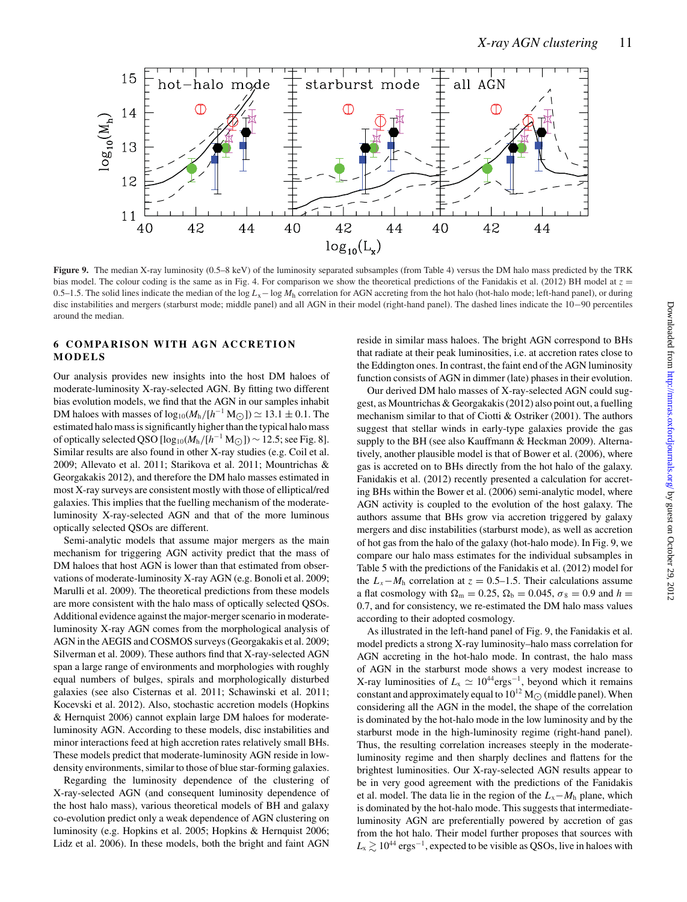

**Figure 9.** The median X-ray luminosity (0.5–8 keV) of the luminosity separated subsamples (from Table 4) versus the DM halo mass predicted by the TRK bias model. The colour coding is the same as in Fig. 4. For comparison we show the theoretical predictions of the Fanidakis et al. (2012) BH model at  $z =$ 0.5–1.5. The solid lines indicate the median of the log  $L_x$ − log  $M_h$  correlation for AGN accreting from the hot halo (hot-halo mode; left-hand panel), or during disc instabilities and mergers (starburst mode; middle panel) and all AGN in their model (right-hand panel). The dashed lines indicate the 10−90 percentiles around the median.

# **6 COMPARISON WITH AGN ACCRETION MODELS**

Our analysis provides new insights into the host DM haloes of moderate-luminosity X-ray-selected AGN. By fitting two different bias evolution models, we find that the AGN in our samples inhabit DM haloes with masses of  $log_{10}(M_h/[h^{-1} M_{\odot}]) \approx 13.1 \pm 0.1$ . The estimated halo mass is significantly higher than the typical halo mass of optically selected QSO  $[\log_{10}(M_h/[h^{-1} M_{\odot}]) \sim 12.5$ ; see Fig. 8]. Similar results are also found in other X-ray studies (e.g. Coil et al. 2009; Allevato et al. 2011; Starikova et al. 2011; Mountrichas & Georgakakis 2012), and therefore the DM halo masses estimated in most X-ray surveys are consistent mostly with those of elliptical/red galaxies. This implies that the fuelling mechanism of the moderateluminosity X-ray-selected AGN and that of the more luminous optically selected QSOs are different.

Semi-analytic models that assume major mergers as the main mechanism for triggering AGN activity predict that the mass of DM haloes that host AGN is lower than that estimated from observations of moderate-luminosity X-ray AGN (e.g. Bonoli et al. 2009; Marulli et al. 2009). The theoretical predictions from these models are more consistent with the halo mass of optically selected QSOs. Additional evidence against the major-merger scenario in moderateluminosity X-ray AGN comes from the morphological analysis of AGN in the AEGIS and COSMOS surveys (Georgakakis et al. 2009; Silverman et al. 2009). These authors find that X-ray-selected AGN span a large range of environments and morphologies with roughly equal numbers of bulges, spirals and morphologically disturbed galaxies (see also Cisternas et al. 2011; Schawinski et al. 2011; Kocevski et al. 2012). Also, stochastic accretion models (Hopkins & Hernquist 2006) cannot explain large DM haloes for moderateluminosity AGN. According to these models, disc instabilities and minor interactions feed at high accretion rates relatively small BHs. These models predict that moderate-luminosity AGN reside in lowdensity environments, similar to those of blue star-forming galaxies.

Regarding the luminosity dependence of the clustering of X-ray-selected AGN (and consequent luminosity dependence of the host halo mass), various theoretical models of BH and galaxy co-evolution predict only a weak dependence of AGN clustering on luminosity (e.g. Hopkins et al. 2005; Hopkins & Hernquist 2006; Lidz et al. 2006). In these models, both the bright and faint AGN reside in similar mass haloes. The bright AGN correspond to BHs that radiate at their peak luminosities, i.e. at accretion rates close to the Eddington ones. In contrast, the faint end of the AGN luminosity function consists of AGN in dimmer (late) phases in their evolution.

Our derived DM halo masses of X-ray-selected AGN could suggest, as Mountrichas & Georgakakis (2012) also point out, a fuelling mechanism similar to that of Ciotti & Ostriker (2001). The authors suggest that stellar winds in early-type galaxies provide the gas supply to the BH (see also Kauffmann & Heckman 2009). Alternatively, another plausible model is that of Bower et al. (2006), where gas is accreted on to BHs directly from the hot halo of the galaxy. Fanidakis et al. (2012) recently presented a calculation for accreting BHs within the Bower et al. (2006) semi-analytic model, where AGN activity is coupled to the evolution of the host galaxy. The authors assume that BHs grow via accretion triggered by galaxy mergers and disc instabilities (starburst mode), as well as accretion of hot gas from the halo of the galaxy (hot-halo mode). In Fig. 9, we compare our halo mass estimates for the individual subsamples in Table 5 with the predictions of the Fanidakis et al. (2012) model for the  $L_x - M_h$  correlation at  $z = 0.5-1.5$ . Their calculations assume a flat cosmology with  $\Omega_{\rm m} = 0.25$ ,  $\Omega_{\rm b} = 0.045$ ,  $\sigma_8 = 0.9$  and  $h =$ 0.7, and for consistency, we re-estimated the DM halo mass values according to their adopted cosmology.

As illustrated in the left-hand panel of Fig. 9, the Fanidakis et al. model predicts a strong X-ray luminosity–halo mass correlation for AGN accreting in the hot-halo mode. In contrast, the halo mass of AGN in the starburst mode shows a very modest increase to X-ray luminosities of  $L_x \simeq 10^{44} \text{erg}^{-1}$ , beyond which it remains constant and approximately equal to  $10^{12}$  M<sub> $\odot$ </sub> (middle panel). When considering all the AGN in the model, the shape of the correlation is dominated by the hot-halo mode in the low luminosity and by the starburst mode in the high-luminosity regime (right-hand panel). Thus, the resulting correlation increases steeply in the moderateluminosity regime and then sharply declines and flattens for the brightest luminosities. Our X-ray-selected AGN results appear to be in very good agreement with the predictions of the Fanidakis et al. model. The data lie in the region of the  $L_x - M_h$  plane, which is dominated by the hot-halo mode. This suggests that intermediateluminosity AGN are preferentially powered by accretion of gas from the hot halo. Their model further proposes that sources with  $L_{\rm x} \gtrsim 10^{44}$  ergs<sup>-1</sup>, expected to be visible as QSOs, live in haloes with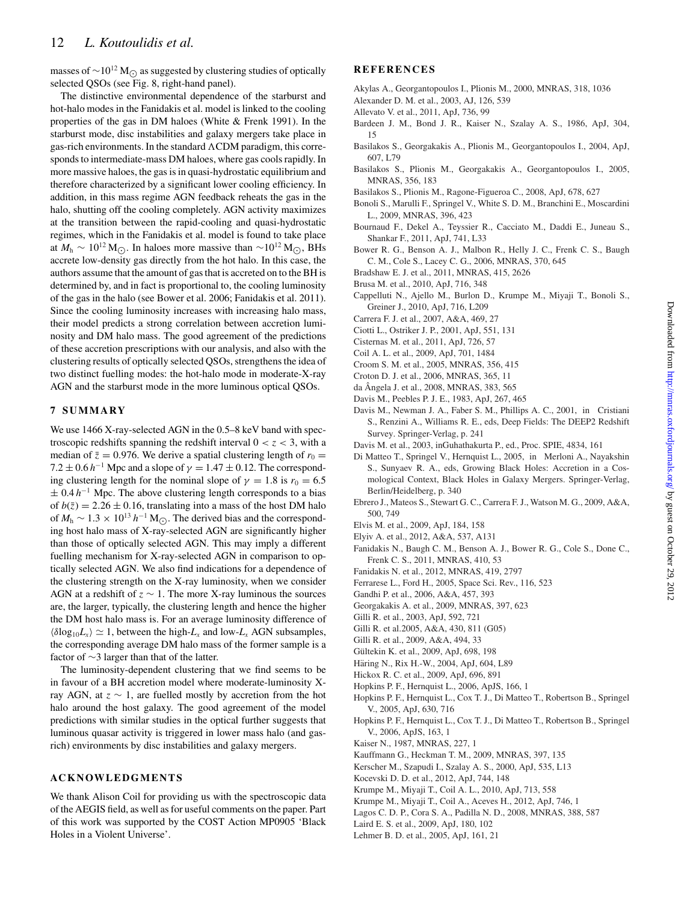masses of  $\sim$ 10<sup>12</sup> M<sub>○</sub> as suggested by clustering studies of optically selected QSOs (see Fig. 8, right-hand panel).

The distinctive environmental dependence of the starburst and hot-halo modes in the Fanidakis et al. model is linked to the cooling properties of the gas in DM haloes (White & Frenk 1991). In the starburst mode, disc instabilities and galaxy mergers take place in gas-rich environments. In the standard  $\Lambda$ CDM paradigm, this corresponds to intermediate-mass DM haloes, where gas cools rapidly. In more massive haloes, the gas is in quasi-hydrostatic equilibrium and therefore characterized by a significant lower cooling efficiency. In addition, in this mass regime AGN feedback reheats the gas in the halo, shutting off the cooling completely. AGN activity maximizes at the transition between the rapid-cooling and quasi-hydrostatic regimes, which in the Fanidakis et al. model is found to take place at  $M_h \sim 10^{12}$  M<sub>○</sub>. In haloes more massive than ~10<sup>12</sup> M<sub>○</sub>, BHs accrete low-density gas directly from the hot halo. In this case, the authors assume that the amount of gas that is accreted on to the BH is determined by, and in fact is proportional to, the cooling luminosity of the gas in the halo (see Bower et al. 2006; Fanidakis et al. 2011). Since the cooling luminosity increases with increasing halo mass, their model predicts a strong correlation between accretion luminosity and DM halo mass. The good agreement of the predictions of these accretion prescriptions with our analysis, and also with the clustering results of optically selected QSOs, strengthens the idea of two distinct fuelling modes: the hot-halo mode in moderate-X-ray AGN and the starburst mode in the more luminous optical QSOs.

# **7 SUMMARY**

We use 1466 X-ray-selected AGN in the 0.5–8 keV band with spectroscopic redshifts spanning the redshift interval  $0 < z < 3$ , with a median of  $\bar{z} = 0.976$ . We derive a spatial clustering length of  $r_0 =$  $7.2 \pm 0.6$  *h*<sup>−1</sup> Mpc and a slope of  $\gamma = 1.47 \pm 0.12$ . The corresponding clustering length for the nominal slope of  $\gamma = 1.8$  is  $r_0 = 6.5$  $\pm$  0.4 *h*<sup>−1</sup> Mpc. The above clustering length corresponds to a bias of  $b(\overline{z}) = 2.26 \pm 0.16$ , translating into a mass of the host DM halo of  $M_h$  ~ 1.3 × 10<sup>13</sup>  $h^{-1}$  M<sub>○</sub>. The derived bias and the corresponding host halo mass of X-ray-selected AGN are significantly higher than those of optically selected AGN. This may imply a different fuelling mechanism for X-ray-selected AGN in comparison to optically selected AGN. We also find indications for a dependence of the clustering strength on the X-ray luminosity, when we consider AGN at a redshift of  $z \sim 1$ . The more X-ray luminous the sources are, the larger, typically, the clustering length and hence the higher the DM host halo mass is. For an average luminosity difference of  $\langle \delta \log_{10} L_x \rangle \simeq 1$ , between the high- $L_x$  and low- $L_x$  AGN subsamples, the corresponding average DM halo mass of the former sample is a factor of ∼3 larger than that of the latter.

The luminosity-dependent clustering that we find seems to be in favour of a BH accretion model where moderate-luminosity Xray AGN, at *z* ∼ 1, are fuelled mostly by accretion from the hot halo around the host galaxy. The good agreement of the model predictions with similar studies in the optical further suggests that luminous quasar activity is triggered in lower mass halo (and gasrich) environments by disc instabilities and galaxy mergers.

# **ACKNOWLEDGMENTS**

We thank Alison Coil for providing us with the spectroscopic data of the AEGIS field, as well as for useful comments on the paper. Part of this work was supported by the COST Action MP0905 'Black Holes in a Violent Universe'.

# **REFERENCES**

- Akylas A., Georgantopoulos I., Plionis M., 2000, MNRAS, 318, 1036
- Alexander D. M. et al., 2003, AJ, 126, 539
- Allevato V. et al., 2011, ApJ, 736, 99
- Bardeen J. M., Bond J. R., Kaiser N., Szalay A. S., 1986, ApJ, 304, 15
- Basilakos S., Georgakakis A., Plionis M., Georgantopoulos I., 2004, ApJ, 607, L79
- Basilakos S., Plionis M., Georgakakis A., Georgantopoulos I., 2005, MNRAS, 356, 183
- Basilakos S., Plionis M., Ragone-Figueroa C., 2008, ApJ, 678, 627
- Bonoli S., Marulli F., Springel V., White S. D. M., Branchini E., Moscardini L., 2009, MNRAS, 396, 423
- Bournaud F., Dekel A., Teyssier R., Cacciato M., Daddi E., Juneau S., Shankar F., 2011, ApJ, 741, L33
- Bower R. G., Benson A. J., Malbon R., Helly J. C., Frenk C. S., Baugh C. M., Cole S., Lacey C. G., 2006, MNRAS, 370, 645
- Bradshaw E. J. et al., 2011, MNRAS, 415, 2626
- Brusa M. et al., 2010, ApJ, 716, 348
- Cappelluti N., Ajello M., Burlon D., Krumpe M., Miyaji T., Bonoli S., Greiner J., 2010, ApJ, 716, L209
- Carrera F. J. et al., 2007, A&A, 469, 27
- Ciotti L., Ostriker J. P., 2001, ApJ, 551, 131
- Cisternas M. et al., 2011, ApJ, 726, 57
- Coil A. L. et al., 2009, ApJ, 701, 1484
- Croom S. M. et al., 2005, MNRAS, 356, 415
- Croton D. J. et al., 2006, MNRAS, 365, 11
- da Angela J. et al., 2008, MNRAS, 383, 565 ˆ
- Davis M., Peebles P. J. E., 1983, ApJ, 267, 465
- Davis M., Newman J. A., Faber S. M., Phillips A. C., 2001, in Cristiani S., Renzini A., Williams R. E., eds, Deep Fields: The DEEP2 Redshift Survey. Springer-Verlag, p. 241
- Davis M. et al., 2003, inGuhathakurta P., ed., Proc. SPIE, 4834, 161
- Di Matteo T., Springel V., Hernquist L., 2005, in Merloni A., Nayakshin S., Sunyaev R. A., eds, Growing Black Holes: Accretion in a Cosmological Context, Black Holes in Galaxy Mergers. Springer-Verlag, Berlin/Heidelberg, p. 340
- Ebrero J., Mateos S., Stewart G. C., Carrera F. J., Watson M. G., 2009, A&A, 500, 749
- Elvis M. et al., 2009, ApJ, 184, 158
- Elyiv A. et al., 2012, A&A, 537, A131
- Fanidakis N., Baugh C. M., Benson A. J., Bower R. G., Cole S., Done C., Frenk C. S., 2011, MNRAS, 410, 53
- Fanidakis N. et al., 2012, MNRAS, 419, 2797
- Ferrarese L., Ford H., 2005, Space Sci. Rev., 116, 523
- Gandhi P. et al., 2006, A&A, 457, 393
- Georgakakis A. et al., 2009, MNRAS, 397, 623
- Gilli R. et al., 2003, ApJ, 592, 721
- Gilli R. et al.2005, A&A, 430, 811 (G05)
- Gilli R. et al., 2009, A&A, 494, 33
- Gültekin K. et al., 2009, ApJ, 698, 198
- Häring N., Rix H.-W., 2004, ApJ, 604, L89
- Hickox R. C. et al., 2009, ApJ, 696, 891
- Hopkins P. F., Hernquist L., 2006, ApJS, 166, 1
- Hopkins P. F., Hernquist L., Cox T. J., Di Matteo T., Robertson B., Springel V., 2005, ApJ, 630, 716
- Hopkins P. F., Hernquist L., Cox T. J., Di Matteo T., Robertson B., Springel V., 2006, ApJS, 163, 1
- Kaiser N., 1987, MNRAS, 227, 1
- Kauffmann G., Heckman T. M., 2009, MNRAS, 397, 135
- Kerscher M., Szapudi I., Szalay A. S., 2000, ApJ, 535, L13
- Kocevski D. D. et al., 2012, ApJ, 744, 148
- Krumpe M., Miyaji T., Coil A. L., 2010, ApJ, 713, 558
- Krumpe M., Miyaji T., Coil A., Aceves H., 2012, ApJ, 746, 1
- Lagos C. D. P., Cora S. A., Padilla N. D., 2008, MNRAS, 388, 587
- Laird E. S. et al., 2009, ApJ, 180, 102
- Lehmer B. D. et al., 2005, ApJ, 161, 21